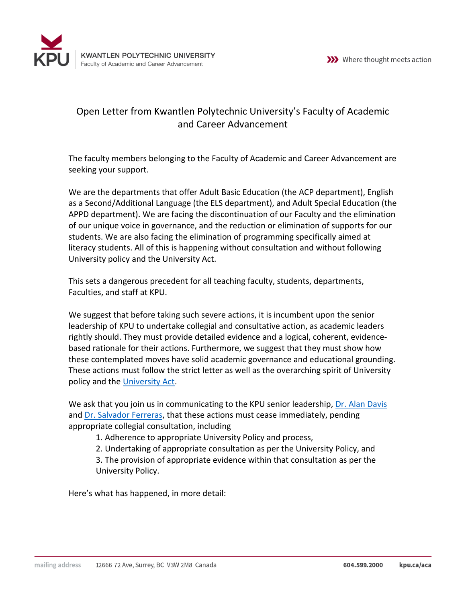



## Open Letter from Kwantlen Polytechnic University's Faculty of Academic and Career Advancement

The faculty members belonging to the Faculty of Academic and Career Advancement are seeking your support.

We are the departments that offer Adult Basic Education (the ACP department), English as a Second/Additional Language (the ELS department), and Adult Special Education (the APPD department). We are facing the discontinuation of our Faculty and the elimination of our unique voice in governance, and the reduction or elimination of supports for our students. We are also facing the elimination of programming specifically aimed at literacy students. All of this is happening without consultation and without following University policy and the University Act.

This sets a dangerous precedent for all teaching faculty, students, departments, Faculties, and staff at KPU.

We suggest that before taking such severe actions, it is incumbent upon the senior leadership of KPU to undertake collegial and consultative action, as academic leaders rightly should. They must provide detailed evidence and a logical, coherent, evidencebased rationale for their actions. Furthermore, we suggest that they must show how these contemplated moves have solid academic governance and educational grounding. These actions must follow the strict letter as well as the overarching spirit of University policy and the [University Act.](http://www.bclaws.ca/Recon/document/ID/freeside/00_96468_01)

We ask that you join us in communicating to the KPU senior leadership, [Dr. Alan Davis](mailto:alan.davis@kpu.ca) and [Dr. Salvador Ferreras,](mailto:salvador.ferreras@kpu.ca) that these actions must cease immediately, pending appropriate collegial consultation, including

1. Adherence to appropriate University Policy and process,

2. Undertaking of appropriate consultation as per the University Policy, and

3. The provision of appropriate evidence within that consultation as per the University Policy.

Here's what has happened, in more detail: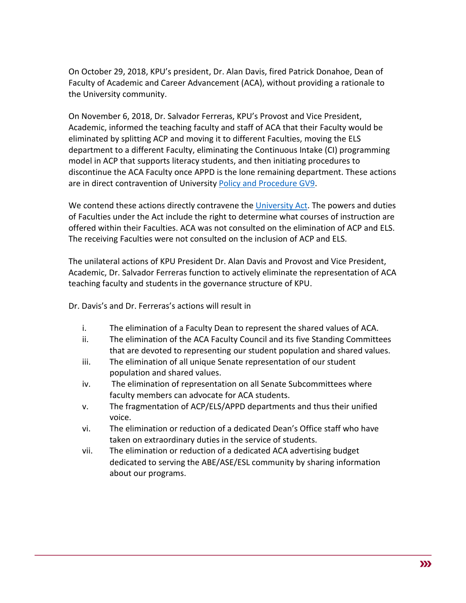On October 29, 2018, KPU's president, Dr. Alan Davis, fired Patrick Donahoe, Dean of Faculty of Academic and Career Advancement (ACA), without providing a rationale to the University community.

On November 6, 2018, Dr. Salvador Ferreras, KPU's Provost and Vice President, Academic, informed the teaching faculty and staff of ACA that their Faculty would be eliminated by splitting ACP and moving it to different Faculties, moving the ELS department to a different Faculty, eliminating the Continuous Intake (CI) programming model in ACP that supports literacy students, and then initiating procedures to discontinue the ACA Faculty once APPD is the lone remaining department. These actions are in direct contravention of Universit[y Policy and Procedure GV9.](https://www.kpu.ca/sites/default/files/Policies/GV9%20Establishment%20andor%20Discontinuance%20of%20Faculties%20and%20Departments%20Procedure.pdf)

We contend these actions directly contravene the [University Act.](http://www.bclaws.ca/Recon/document/ID/freeside/00_96468_01) The powers and duties of Faculties under the Act include the right to determine what courses of instruction are offered within their Faculties. ACA was not consulted on the elimination of ACP and ELS. The receiving Faculties were not consulted on the inclusion of ACP and ELS.

The unilateral actions of KPU President Dr. Alan Davis and Provost and Vice President, Academic, Dr. Salvador Ferreras function to actively eliminate the representation of ACA teaching faculty and students in the governance structure of KPU.

Dr. Davis's and Dr. Ferreras's actions will result in

- i. The elimination of a Faculty Dean to represent the shared values of ACA.
- ii. The elimination of the ACA Faculty Council and its five Standing Committees that are devoted to representing our student population and shared values.
- iii. The elimination of all unique Senate representation of our student population and shared values.
- iv. The elimination of representation on all Senate Subcommittees where faculty members can advocate for ACA students.
- v. The fragmentation of ACP/ELS/APPD departments and thus their unified voice.
- vi. The elimination or reduction of a dedicated Dean's Office staff who have taken on extraordinary duties in the service of students.
- vii. The elimination or reduction of a dedicated ACA advertising budget dedicated to serving the ABE/ASE/ESL community by sharing information about our programs.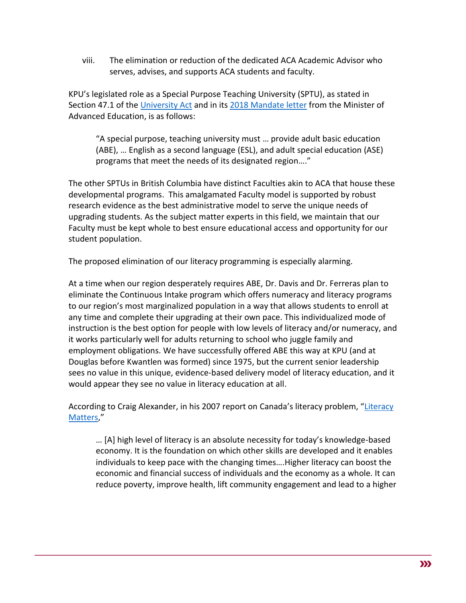viii. The elimination or reduction of the dedicated ACA Academic Advisor who serves, advises, and supports ACA students and faculty.

KPU's legislated role as a Special Purpose Teaching University (SPTU), as stated in Section 47.1 of the [University Act](http://www.bclaws.ca/Recon/document/ID/freeside/00_96468_01#section47.1) and in its 2018 [Mandate letter](https://www2.gov.bc.ca/assets/gov/education/post-secondary-education/institution-resources-administration/mandate-letters/mandate-kpu.pdf) from the Minister of Advanced Education, is as follows:

"A special purpose, teaching university must … provide adult basic education (ABE), … English as a second language (ESL), and adult special education (ASE) programs that meet the needs of its designated region…."

The other SPTUs in British Columbia have distinct Faculties akin to ACA that house these developmental programs. This amalgamated Faculty model is supported by robust research evidence as the best administrative model to serve the unique needs of upgrading students. As the subject matter experts in this field, we maintain that our Faculty must be kept whole to best ensure educational access and opportunity for our student population.

The proposed elimination of our literacy programming is especially alarming.

At a time when our region desperately requires ABE, Dr. Davis and Dr. Ferreras plan to eliminate the Continuous Intake program which offers numeracy and literacy programs to our region's most marginalized population in a way that allows students to enroll at any time and complete their upgrading at their own pace. This individualized mode of instruction is the best option for people with low levels of literacy and/or numeracy, and it works particularly well for adults returning to school who juggle family and employment obligations. We have successfully offered ABE this way at KPU (and at Douglas before Kwantlen was formed) since 1975, but the current senior leadership sees no value in this unique, evidence-based delivery model of literacy education, and it would appear they see no value in literacy education at all.

According to Craig Alexander, in his 2007 report on Canada's literacy problem, "[Literacy](https://canlearnsociety.ca/wp-content/uploads/2013/01/Literacy-Matters.pdf)  [Matters,](https://canlearnsociety.ca/wp-content/uploads/2013/01/Literacy-Matters.pdf)"

… [A] high level of literacy is an absolute necessity for today's knowledge-based economy. It is the foundation on which other skills are developed and it enables individuals to keep pace with the changing times….Higher literacy can boost the economic and financial success of individuals and the economy as a whole. It can reduce poverty, improve health, lift community engagement and lead to a higher